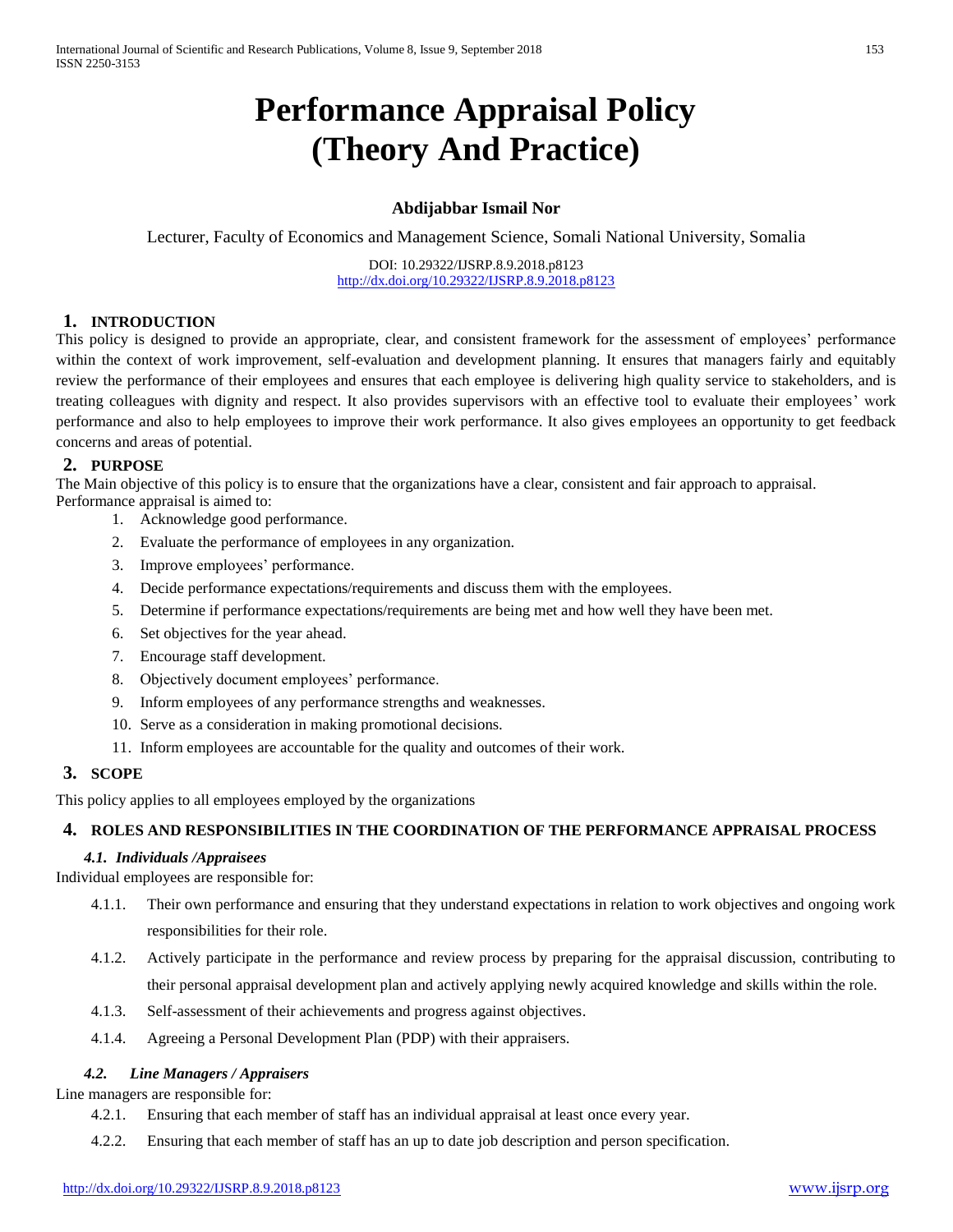# **Performance Appraisal Policy (Theory And Practice)**

# **Abdijabbar Ismail Nor**

Lecturer, Faculty of Economics and Management Science, Somali National University, Somalia

DOI: 10.29322/IJSRP.8.9.2018.p8123 <http://dx.doi.org/10.29322/IJSRP.8.9.2018.p8123>

## **1. INTRODUCTION**

This policy is designed to provide an appropriate, clear, and consistent framework for the assessment of employees' performance within the context of work improvement, self-evaluation and development planning. It ensures that managers fairly and equitably review the performance of their employees and ensures that each employee is delivering high quality service to stakeholders, and is treating colleagues with dignity and respect. It also provides supervisors with an effective tool to evaluate their employees' work performance and also to help employees to improve their work performance. It also gives employees an opportunity to get feedback concerns and areas of potential.

## **2. PURPOSE**

The Main objective of this policy is to ensure that the organizations have a clear, consistent and fair approach to appraisal. Performance appraisal is aimed to:

- 1. Acknowledge good performance.
- 2. Evaluate the performance of employees in any organization.
- 3. Improve employees' performance.
- 4. Decide performance expectations/requirements and discuss them with the employees.
- 5. Determine if performance expectations/requirements are being met and how well they have been met.
- 6. Set objectives for the year ahead.
- 7. Encourage staff development.
- 8. Objectively document employees' performance.
- 9. Inform employees of any performance strengths and weaknesses.
- 10. Serve as a consideration in making promotional decisions.
- 11. Inform employees are accountable for the quality and outcomes of their work.

# **3. SCOPE**

This policy applies to all employees employed by the organizations

#### **4. ROLES AND RESPONSIBILITIES IN THE COORDINATION OF THE PERFORMANCE APPRAISAL PROCESS**

#### *4.1. Individuals /Appraisees*

Individual employees are responsible for:

- 4.1.1. Their own performance and ensuring that they understand expectations in relation to work objectives and ongoing work responsibilities for their role.
- 4.1.2. Actively participate in the performance and review process by preparing for the appraisal discussion, contributing to their personal appraisal development plan and actively applying newly acquired knowledge and skills within the role.
- 4.1.3. Self-assessment of their achievements and progress against objectives.
- 4.1.4. Agreeing a Personal Development Plan (PDP) with their appraisers.

## *4.2. Line Managers / Appraisers*

Line managers are responsible for:

- 4.2.1. Ensuring that each member of staff has an individual appraisal at least once every year.
- 4.2.2. Ensuring that each member of staff has an up to date job description and person specification.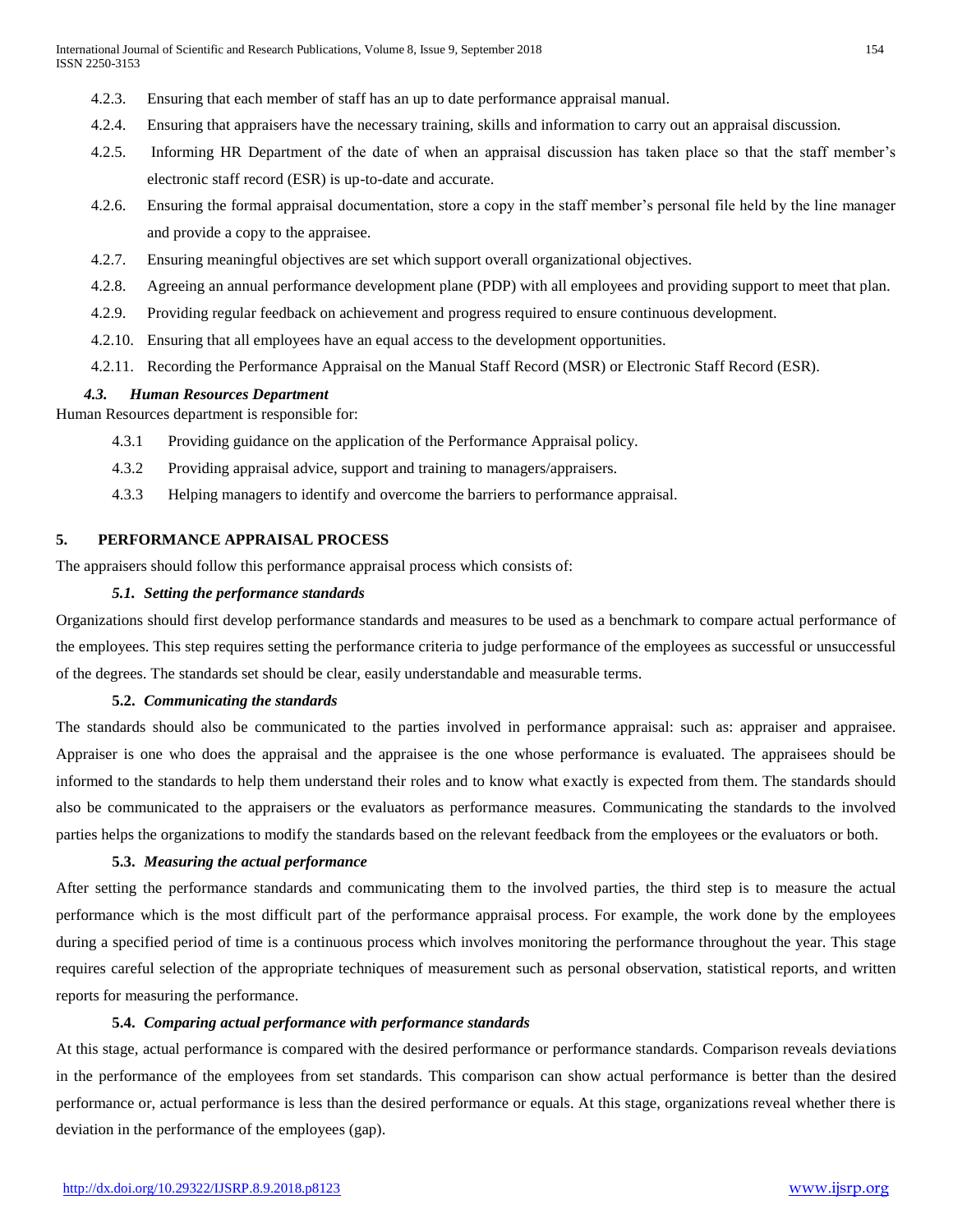- 4.2.3. Ensuring that each member of staff has an up to date performance appraisal manual.
- 4.2.4. Ensuring that appraisers have the necessary training, skills and information to carry out an appraisal discussion.
- 4.2.5. Informing HR Department of the date of when an appraisal discussion has taken place so that the staff member's electronic staff record (ESR) is up-to-date and accurate.
- 4.2.6. Ensuring the formal appraisal documentation, store a copy in the staff member's personal file held by the line manager and provide a copy to the appraisee.
- 4.2.7. Ensuring meaningful objectives are set which support overall organizational objectives.
- 4.2.8. Agreeing an annual performance development plane (PDP) with all employees and providing support to meet that plan.
- 4.2.9. Providing regular feedback on achievement and progress required to ensure continuous development.
- 4.2.10. Ensuring that all employees have an equal access to the development opportunities.
- 4.2.11. Recording the Performance Appraisal on the Manual Staff Record (MSR) or Electronic Staff Record (ESR).

#### *4.3. Human Resources Department*

Human Resources department is responsible for:

- 4.3.1 Providing guidance on the application of the Performance Appraisal policy.
- 4.3.2 Providing appraisal advice, support and training to managers/appraisers.
- 4.3.3 Helping managers to identify and overcome the barriers to performance appraisal.

# **5. PERFORMANCE APPRAISAL PROCESS**

The appraisers should follow this performance appraisal process which consists of:

#### *5.1. Setting the performance standards*

Organizations should first develop performance standards and measures to be used as a benchmark to compare actual performance of the employees. This step requires setting the performance criteria to judge performance of the employees as successful or unsuccessful of the degrees. The standards set should be clear, easily understandable and measurable terms.

#### **5.2.** *Communicating the standards*

The standards should also be communicated to the parties involved in performance appraisal: such as: appraiser and appraisee. Appraiser is one who does the appraisal and the appraisee is the one whose performance is evaluated. The appraisees should be informed to the standards to help them understand their roles and to know what exactly is expected from them. The standards should also be communicated to the appraisers or the evaluators as performance measures. Communicating the standards to the involved parties helps the organizations to modify the standards based on the relevant feedback from the employees or the evaluators or both.

#### **5.3.** *Measuring the actual performance*

After setting the performance standards and communicating them to the involved parties, the third step is to measure the actual performance which is the most difficult part of the performance appraisal process. For example, the work done by the employees during a specified period of time is a continuous process which involves monitoring the performance throughout the year. This stage requires careful selection of the appropriate techniques of measurement such as personal observation, statistical reports, and written reports for measuring the performance.

#### **5.4.** *Comparing actual performance with performance standards*

At this stage, actual performance is compared with the desired performance or performance standards. Comparison reveals deviations in the performance of the employees from set standards. This comparison can show actual performance is better than the desired performance or, actual performance is less than the desired performance or equals. At this stage, organizations reveal whether there is deviation in the performance of the employees (gap).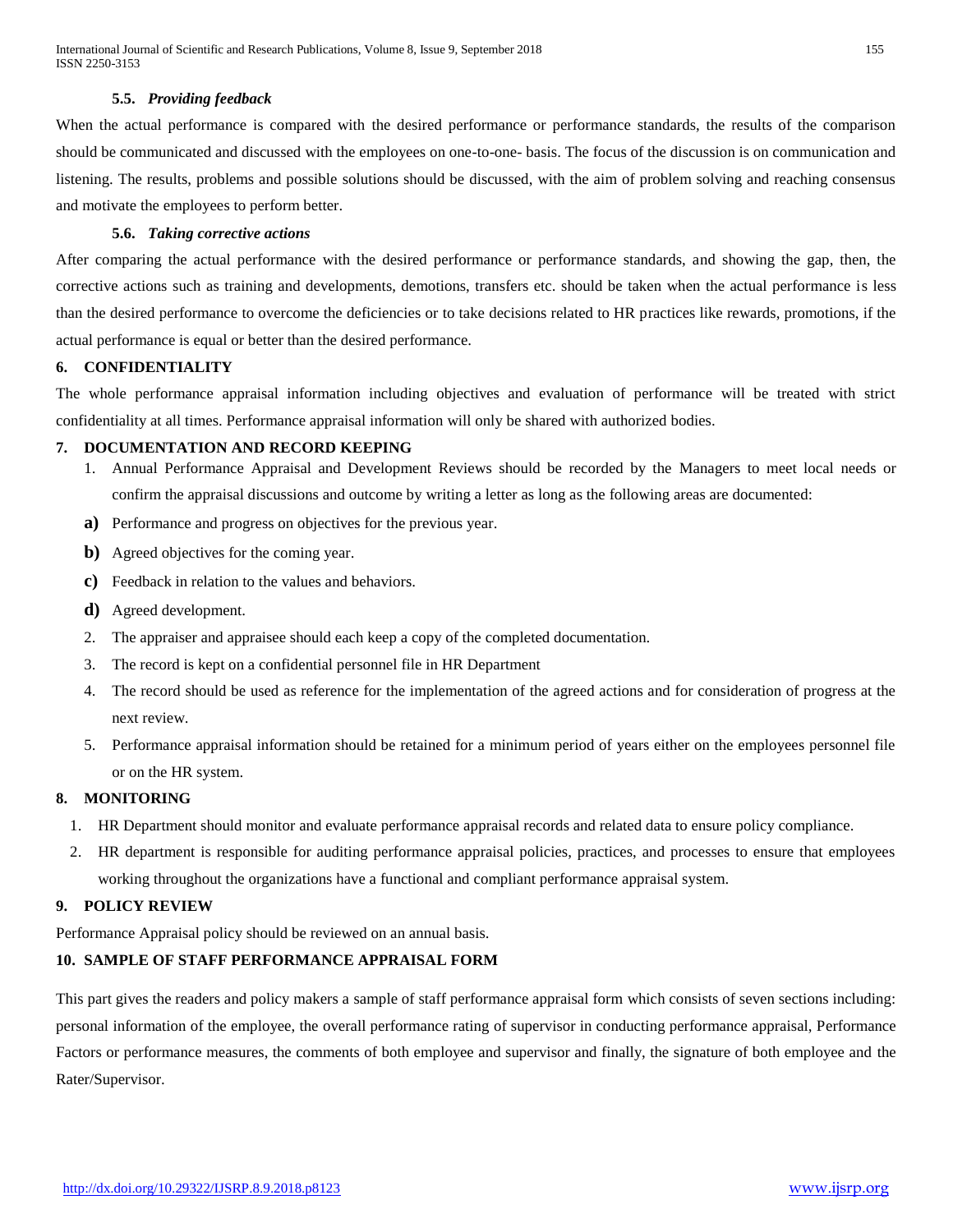#### **5.5.** *Providing feedback*

When the actual performance is compared with the desired performance or performance standards, the results of the comparison should be communicated and discussed with the employees on one-to-one- basis. The focus of the discussion is on communication and listening. The results, problems and possible solutions should be discussed, with the aim of problem solving and reaching consensus and motivate the employees to perform better.

#### **5.6.** *Taking corrective actions*

After comparing the actual performance with the desired performance or performance standards, and showing the gap, then, the corrective actions such as training and developments, demotions, transfers etc. should be taken when the actual performance is less than the desired performance to overcome the deficiencies or to take decisions related to HR practices like rewards, promotions, if the actual performance is equal or better than the desired performance.

#### **6. CONFIDENTIALITY**

The whole performance appraisal information including objectives and evaluation of performance will be treated with strict confidentiality at all times. Performance appraisal information will only be shared with authorized bodies.

#### **7. DOCUMENTATION AND RECORD KEEPING**

- 1. Annual Performance Appraisal and Development Reviews should be recorded by the Managers to meet local needs or confirm the appraisal discussions and outcome by writing a letter as long as the following areas are documented:
- **a)** Performance and progress on objectives for the previous year.
- **b**) Agreed objectives for the coming year.
- **c)** Feedback in relation to the values and behaviors.
- **d)** Agreed development.
- 2. The appraiser and appraisee should each keep a copy of the completed documentation.
- 3. The record is kept on a confidential personnel file in HR Department
- 4. The record should be used as reference for the implementation of the agreed actions and for consideration of progress at the next review.
- 5. Performance appraisal information should be retained for a minimum period of years either on the employees personnel file or on the HR system.

#### **8. MONITORING**

- 1. HR Department should monitor and evaluate performance appraisal records and related data to ensure policy compliance.
- 2. HR department is responsible for auditing performance appraisal policies, practices, and processes to ensure that employees working throughout the organizations have a functional and compliant performance appraisal system.

# **9. POLICY REVIEW**

Performance Appraisal policy should be reviewed on an annual basis.

# **10. SAMPLE OF STAFF PERFORMANCE APPRAISAL FORM**

This part gives the readers and policy makers a sample of staff performance appraisal form which consists of seven sections including: personal information of the employee, the overall performance rating of supervisor in conducting performance appraisal, Performance Factors or performance measures, the comments of both employee and supervisor and finally, the signature of both employee and the Rater/Supervisor.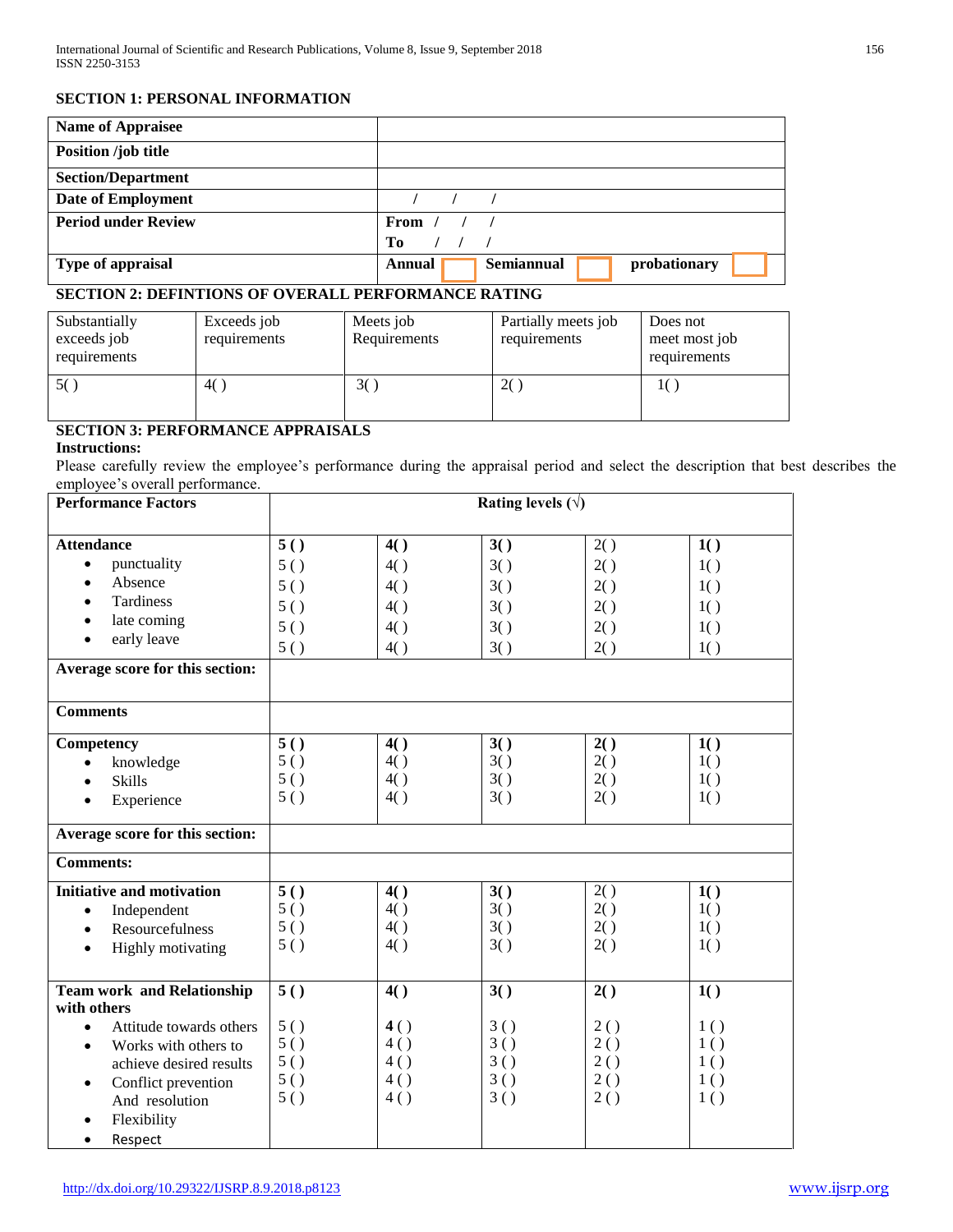## **SECTION 1: PERSONAL INFORMATION**

| <b>Name of Appraisee</b>   |                                      |
|----------------------------|--------------------------------------|
| Position /job title        |                                      |
| <b>Section/Department</b>  |                                      |
| Date of Employment         |                                      |
| <b>Period under Review</b> | From $/$ $/$ $/$                     |
|                            | Tо                                   |
| Type of appraisal          | Semiannual<br>probationary<br>Annual |

# **SECTION 2: DEFINTIONS OF OVERALL PERFORMANCE RATING**

| Substantially<br>exceeds job<br>requirements | Exceeds job<br>requirements | Meets job<br>Requirements | Partially meets job<br>requirements | Does not<br>meet most job<br>requirements |
|----------------------------------------------|-----------------------------|---------------------------|-------------------------------------|-------------------------------------------|
| 5()                                          | 4()                         | 3(                        | 2(                                  |                                           |

# **SECTION 3: PERFORMANCE APPRAISALS**

## **Instructions:**

Please carefully review the employee's performance during the appraisal period and select the description that best describes the employee's overall performance.

| <b>Performance Factors</b>                                   | Rating levels $(\forall)$ |     |     |            |            |
|--------------------------------------------------------------|---------------------------|-----|-----|------------|------------|
|                                                              |                           |     |     |            |            |
| <b>Attendance</b>                                            | 5()                       | 4() | 3() | 2()        | 1()        |
| punctuality<br>$\bullet$                                     | 5()                       | 4() | 3() | 2()        | 1()        |
| Absence<br>$\bullet$                                         | 5()                       | 4() | 3() | 2()        | 1()        |
| Tardiness<br>$\bullet$                                       | 5()                       | 4() | 3() | 2()        | 1()        |
| late coming<br>$\bullet$                                     | 5()                       | 4() | 3() | 2()        | 1()        |
| early leave<br>$\bullet$                                     | 5()                       | 4() | 3() | 2()        | 1()        |
| Average score for this section:                              |                           |     |     |            |            |
| <b>Comments</b>                                              |                           |     |     |            |            |
| Competency                                                   | 5()                       | 4() | 3() | 2()        | 1()        |
| knowledge<br>$\bullet$                                       | 5()                       | 4() | 3() | 2()        | 1()        |
| <b>Skills</b>                                                | 5()                       | 4() | 3() | 2()        | 1()        |
| Experience<br>$\bullet$                                      | 5()                       | 4() | 3() | 2()        | 1()        |
| Average score for this section:                              |                           |     |     |            |            |
| <b>Comments:</b>                                             |                           |     |     |            |            |
| <b>Initiative and motivation</b>                             | 5()                       | 4() | 3() | 2()        | 1()        |
| Independent<br>$\bullet$                                     | 5()                       | 4() | 3() | 2()        | 1()        |
| Resourcefulness<br>$\bullet$                                 | 5()                       | 4() | 3() | 2()        | 1()        |
| <b>Highly</b> motivating<br>$\bullet$                        | 5()                       | 4() | 3() | 2()        | 1()        |
|                                                              |                           |     |     |            |            |
| <b>Team work and Relationship</b>                            | 5()                       | 4() | 3() | 2()        | 1()        |
| with others<br>Attitude towards others<br>$\bullet$          | 5()                       | 4() | 3() |            |            |
|                                                              | 5()                       | 4() | 3() | 2()<br>2() | 1()<br>1() |
| Works with others to<br>$\bullet$<br>achieve desired results | 5()                       | 4() | 3() | 2()        | 1()        |
|                                                              | 5()                       | 4() | 3() | 2()        | 1()        |
| Conflict prevention<br>$\bullet$<br>And resolution           | 5()                       | 4() | 3() | 2()        | 1()        |
| Flexibility                                                  |                           |     |     |            |            |
|                                                              |                           |     |     |            |            |
| Respect<br>$\bullet$                                         |                           |     |     |            |            |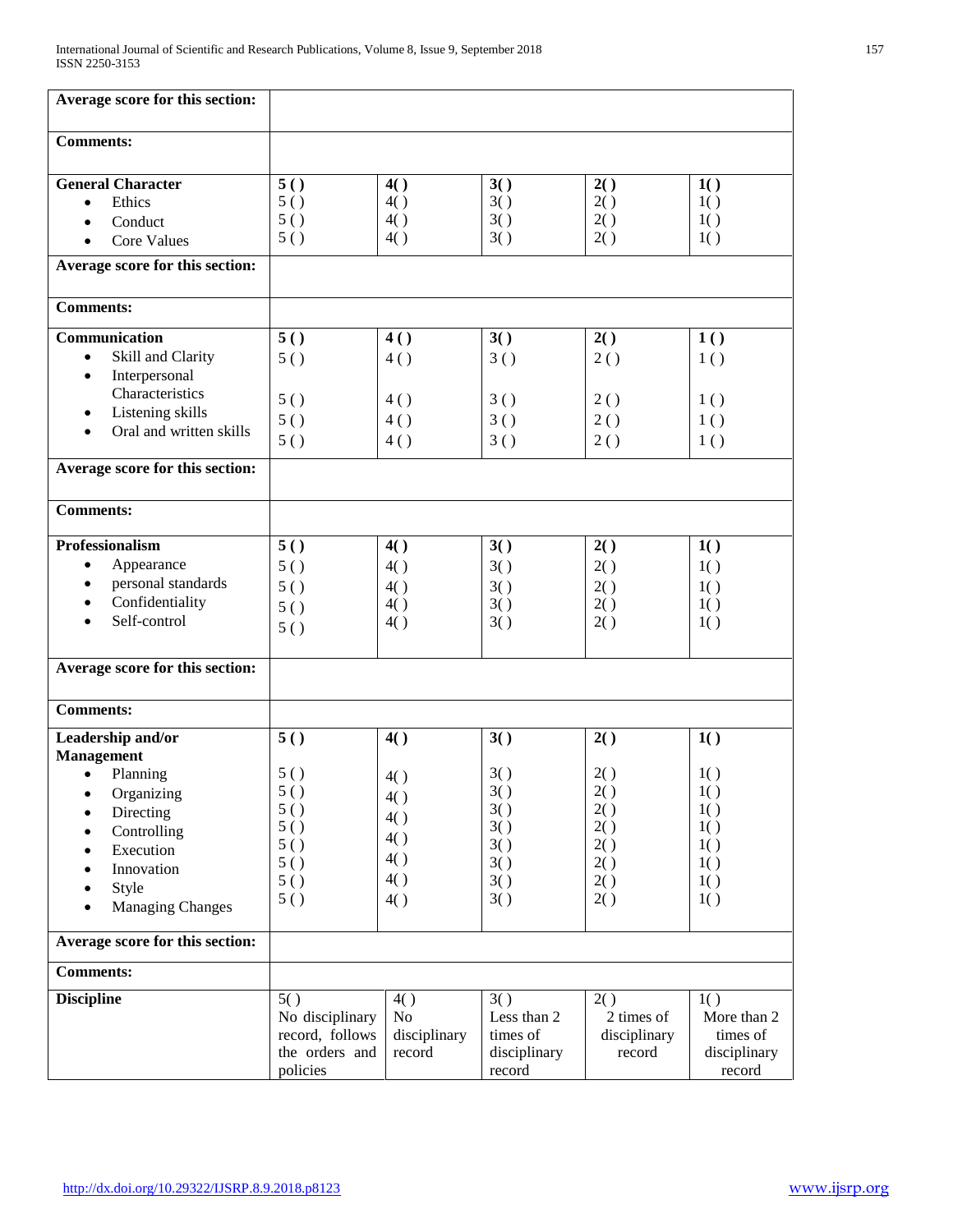| Average score for this section:                                                                                                                                                       |                                                                         |                                                      |                                                             |                                                             |                                                             |
|---------------------------------------------------------------------------------------------------------------------------------------------------------------------------------------|-------------------------------------------------------------------------|------------------------------------------------------|-------------------------------------------------------------|-------------------------------------------------------------|-------------------------------------------------------------|
| <b>Comments:</b>                                                                                                                                                                      |                                                                         |                                                      |                                                             |                                                             |                                                             |
| <b>General Character</b><br>Ethics<br>$\bullet$<br>Conduct<br>$\bullet$<br><b>Core Values</b><br>$\bullet$                                                                            | 5()<br>5()<br>5()<br>5()                                                | 4()<br>4()<br>4()<br>4()                             | 3()<br>3()<br>3()<br>3()                                    | 2()<br>2()<br>2()<br>2()                                    | 1()<br>1()<br>1()<br>1()                                    |
| Average score for this section:                                                                                                                                                       |                                                                         |                                                      |                                                             |                                                             |                                                             |
| <b>Comments:</b>                                                                                                                                                                      |                                                                         |                                                      |                                                             |                                                             |                                                             |
| Communication<br>Skill and Clarity<br>$\bullet$<br>Interpersonal<br>$\bullet$<br>Characteristics<br>Listening skills<br>Oral and written skills<br>٠                                  | 5()<br>5()<br>5()<br>5()                                                | 4()<br>4()<br>4()<br>4()                             | 3()<br>3()<br>3()<br>3()                                    | 2()<br>2()<br>2()<br>2()                                    | 1()<br>1()<br>1()<br>1()                                    |
|                                                                                                                                                                                       | 5()                                                                     | 4()                                                  | 3()                                                         | 2()                                                         | 1()                                                         |
| Average score for this section:                                                                                                                                                       |                                                                         |                                                      |                                                             |                                                             |                                                             |
| <b>Comments:</b>                                                                                                                                                                      |                                                                         |                                                      |                                                             |                                                             |                                                             |
| Professionalism<br>Appearance<br>$\bullet$<br>personal standards<br>$\bullet$<br>Confidentiality<br>Self-control                                                                      | 5()<br>5()<br>5()<br>5()<br>5()                                         | 4()<br>4()<br>4()<br>4()<br>4()                      | 3()<br>3()<br>3()<br>3()<br>3()                             | 2()<br>2()<br>2()<br>2()<br>2()                             | 1()<br>1()<br>1()<br>1()<br>1()                             |
| Average score for this section:                                                                                                                                                       |                                                                         |                                                      |                                                             |                                                             |                                                             |
| <b>Comments:</b>                                                                                                                                                                      |                                                                         |                                                      |                                                             |                                                             |                                                             |
| Leadership and/or<br><b>Management</b><br>Planning<br>$\bullet$<br>Organizing<br>Directing<br>Controlling<br>$\bullet$<br>Execution<br>Innovation<br>Style<br><b>Managing Changes</b> | 5()<br>5()<br>5()<br>5()<br>5()<br>5()<br>5()<br>5()<br>5()             | 4()<br>4()<br>4()<br>4()<br>4()<br>4()<br>4()<br>4() | 3()<br>3()<br>3()<br>3()<br>3()<br>3()<br>3()<br>3()<br>3() | 2()<br>2()<br>2()<br>2()<br>2()<br>2()<br>2()<br>2()<br>2() | 1()<br>1()<br>1()<br>1()<br>1()<br>1()<br>1()<br>1()<br>1() |
| Average score for this section:                                                                                                                                                       |                                                                         |                                                      |                                                             |                                                             |                                                             |
| <b>Comments:</b>                                                                                                                                                                      |                                                                         |                                                      |                                                             |                                                             |                                                             |
| <b>Discipline</b>                                                                                                                                                                     | 5()<br>No disciplinary<br>record, follows<br>the orders and<br>policies | 4()<br>No<br>disciplinary<br>record                  | 3()<br>Less than 2<br>times of<br>disciplinary<br>record    | 2()<br>2 times of<br>disciplinary<br>record                 | 1()<br>More than 2<br>times of<br>disciplinary<br>record    |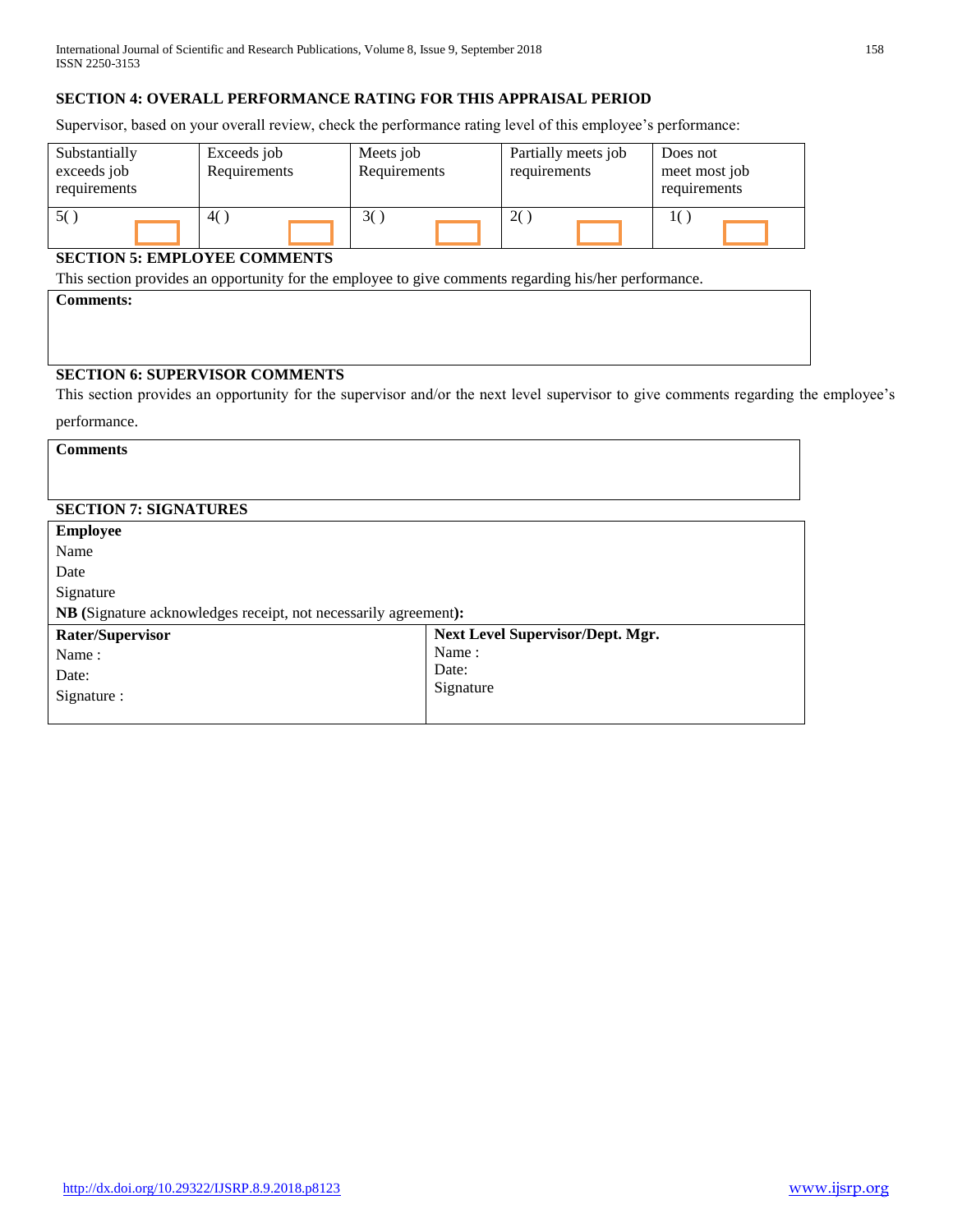# **SECTION 4: OVERALL PERFORMANCE RATING FOR THIS APPRAISAL PERIOD**

Supervisor, based on your overall review, check the performance rating level of this employee's performance:

| Substantially<br>exceeds job<br>requirements | Exceeds job<br>Requirements | Meets job<br>Requirements | Partially meets job<br>requirements | Does not<br>meet most job<br>requirements |
|----------------------------------------------|-----------------------------|---------------------------|-------------------------------------|-------------------------------------------|
| 50                                           | 4()                         |                           | 2()                                 |                                           |

# **SECTION 5: EMPLOYEE COMMENTS**

This section provides an opportunity for the employee to give comments regarding his/her performance.

**Comments:**

# **SECTION 6: SUPERVISOR COMMENTS**

This section provides an opportunity for the supervisor and/or the next level supervisor to give comments regarding the employee's

performance.

**Comments** 

# **SECTION 7: SIGNATURES**

| <b>Employee</b>                                                 |                                  |  |  |  |
|-----------------------------------------------------------------|----------------------------------|--|--|--|
| Name                                                            |                                  |  |  |  |
| Date                                                            |                                  |  |  |  |
| Signature                                                       |                                  |  |  |  |
| NB (Signature acknowledges receipt, not necessarily agreement): |                                  |  |  |  |
| Rater/Supervisor                                                | Next Level Supervisor/Dept. Mgr. |  |  |  |
| Name:                                                           | Name:                            |  |  |  |
| Date:                                                           | Date:                            |  |  |  |
| Signature :                                                     | Signature                        |  |  |  |
|                                                                 |                                  |  |  |  |